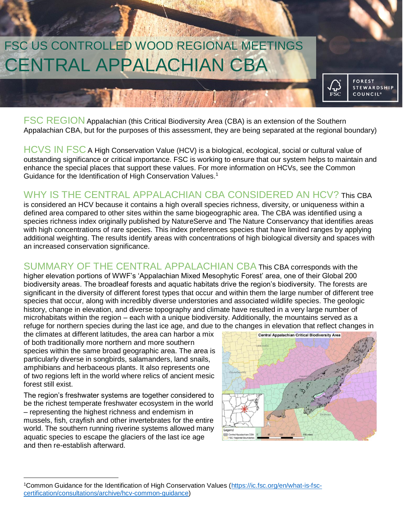

FSC REGION Appalachian (this Critical Biodiversity Area (CBA) is an extension of the Southern Appalachian CBA, but for the purposes of this assessment, they are being separated at the regional boundary)

HCVS IN FSC A High Conservation Value (HCV) is a biological, ecological, social or cultural value of outstanding significance or critical importance. FSC is working to ensure that our system helps to maintain and enhance the special places that support these values. For more information on HCVs, see the Common Guidance for the Identification of High Conservation Values.<sup>1</sup>

### WHY IS THE CENTRAL APPALACHIAN CBA CONSIDERED AN HCV? This CBA

is considered an HCV because it contains a high overall species richness, diversity, or uniqueness within a defined area compared to other sites within the same biogeographic area. The CBA was identified using a species richness index originally published by NatureServe and The Nature Conservancy that identifies areas with high concentrations of rare species. This index preferences species that have limited ranges by applying additional weighting. The results identify areas with concentrations of high biological diversity and spaces with an increased conservation significance.

SUMMARY OF THE CENTRAL APPALACHIAN CBA This CBA corresponds with the higher elevation portions of WWF's 'Appalachian Mixed Mesophytic Forest' area, one of their Global 200 biodiversity areas. The broadleaf forests and aquatic habitats drive the region's biodiversity. The forests are significant in the diversity of different forest types that occur and within them the large number of different tree species that occur, along with incredibly diverse understories and associated wildlife species. The geologic history, change in elevation, and diverse topography and climate have resulted in a very large number of microhabitats within the region – each with a unique biodiversity. Additionally, the mountains served as a refuge for northern species during the last ice age, and due to the changes in elevation that reflect changes in

the climates at different latitudes, the area can harbor a mix of both traditionally more northern and more southern species within the same broad geographic area. The area is particularly diverse in songbirds, salamanders, land snails, amphibians and herbaceous plants. It also represents one of two regions left in the world where relics of ancient mesic forest still exist.

The region's freshwater systems are together considered to be the richest temperate freshwater ecosystem in the world – representing the highest richness and endemism in mussels, fish, crayfish and other invertebrates for the entire world. The southern running riverine systems allowed many aquatic species to escape the glaciers of the last ice age and then re-establish afterward.

 $\overline{\phantom{a}}$ 



<sup>1</sup>Common Guidance for the Identification of High Conservation Values [\(https://ic.fsc.org/en/what-is-fsc](https://ic.fsc.org/en/what-is-fsc-certification/consultations/archive/hcv-common-guidance)[certification/consultations/archive/hcv-common-guidance\)](https://ic.fsc.org/en/what-is-fsc-certification/consultations/archive/hcv-common-guidance)